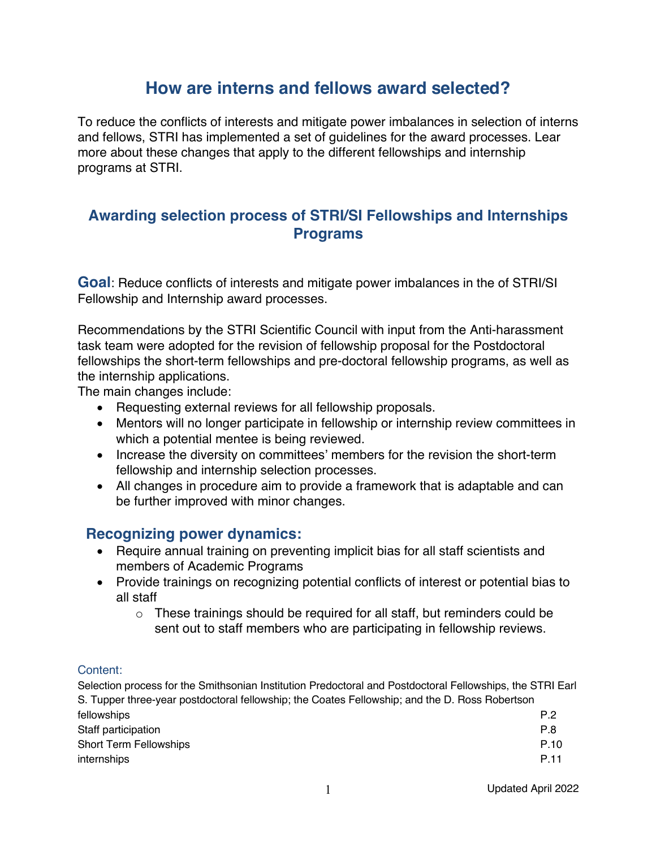# **How are interns and fellows award selected?**

To reduce the conflicts of interests and mitigate power imbalances in selection of interns and fellows, STRI has implemented a set of guidelines for the award processes. Lear more about these changes that apply to the different fellowships and internship programs at STRI.

## **Awarding selection process of STRI/SI Fellowships and Internships Programs**

**Goal**: Reduce conflicts of interests and mitigate power imbalances in the of STRI/SI Fellowship and Internship award processes.

Recommendations by the STRI Scientific Council with input from the Anti-harassment task team were adopted for the revision of fellowship proposal for the Postdoctoral fellowships the short-term fellowships and pre-doctoral fellowship programs, as well as the internship applications.

The main changes include:

- Requesting external reviews for all fellowship proposals.
- Mentors will no longer participate in fellowship or internship review committees in which a potential mentee is being reviewed.
- Increase the diversity on committees' members for the revision the short-term fellowship and internship selection processes.
- All changes in procedure aim to provide a framework that is adaptable and can be further improved with minor changes.

## **Recognizing power dynamics:**

- Require annual training on preventing implicit bias for all staff scientists and members of Academic Programs
- Provide trainings on recognizing potential conflicts of interest or potential bias to all staff
	- $\circ$  These trainings should be required for all staff, but reminders could be sent out to staff members who are participating in fellowship reviews.

#### Content:

Selection process for the Smithsonian Institution Predoctoral and Postdoctoral Fellowships, the STRI Earl S. Tupper three-year postdoctoral fellowship; the Coates Fellowship; and the D. Ross Robertson fellowships P.2 Staff participation **P.8** Short Term Fellowships **P.10** internships P.11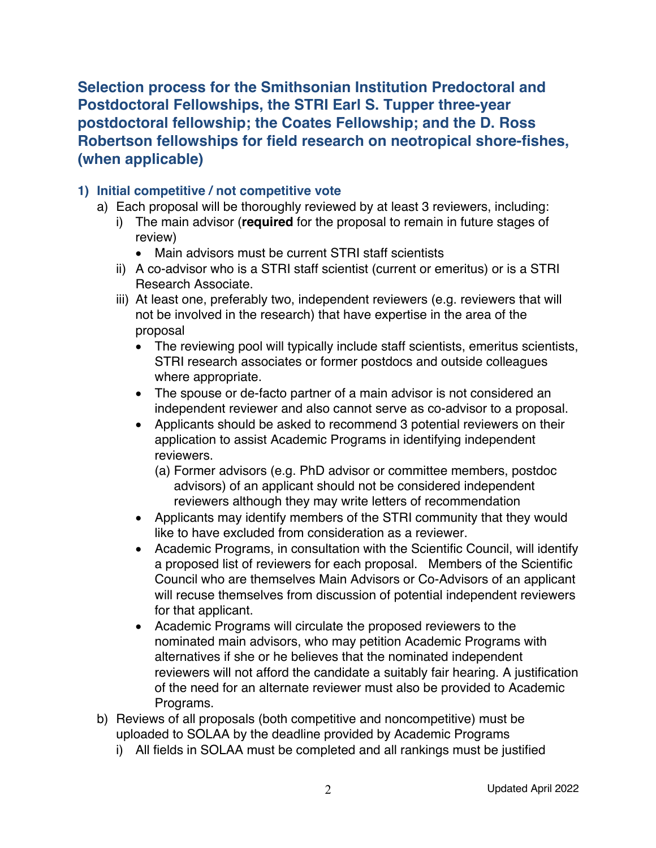**Selection process for the Smithsonian Institution Predoctoral and Postdoctoral Fellowships, the STRI Earl S. Tupper three-year postdoctoral fellowship; the Coates Fellowship; and the D. Ross Robertson fellowships for field research on neotropical shore-fishes, (when applicable)**

#### **1) Initial competitive / not competitive vote**

- a) Each proposal will be thoroughly reviewed by at least 3 reviewers, including:
	- i) The main advisor (**required** for the proposal to remain in future stages of review)
		- Main advisors must be current STRI staff scientists
	- ii) A co-advisor who is a STRI staff scientist (current or emeritus) or is a STRI Research Associate.
	- iii) At least one, preferably two, independent reviewers (e.g. reviewers that will not be involved in the research) that have expertise in the area of the proposal
		- The reviewing pool will typically include staff scientists, emeritus scientists, STRI research associates or former postdocs and outside colleagues where appropriate.
		- The spouse or de-facto partner of a main advisor is not considered an independent reviewer and also cannot serve as co-advisor to a proposal.
		- Applicants should be asked to recommend 3 potential reviewers on their application to assist Academic Programs in identifying independent reviewers.
			- (a) Former advisors (e.g. PhD advisor or committee members, postdoc advisors) of an applicant should not be considered independent reviewers although they may write letters of recommendation
		- Applicants may identify members of the STRI community that they would like to have excluded from consideration as a reviewer.
		- Academic Programs, in consultation with the Scientific Council, will identify a proposed list of reviewers for each proposal. Members of the Scientific Council who are themselves Main Advisors or Co-Advisors of an applicant will recuse themselves from discussion of potential independent reviewers for that applicant.
		- Academic Programs will circulate the proposed reviewers to the nominated main advisors, who may petition Academic Programs with alternatives if she or he believes that the nominated independent reviewers will not afford the candidate a suitably fair hearing. A justification of the need for an alternate reviewer must also be provided to Academic Programs.
- b) Reviews of all proposals (both competitive and noncompetitive) must be uploaded to SOLAA by the deadline provided by Academic Programs
	- i) All fields in SOLAA must be completed and all rankings must be justified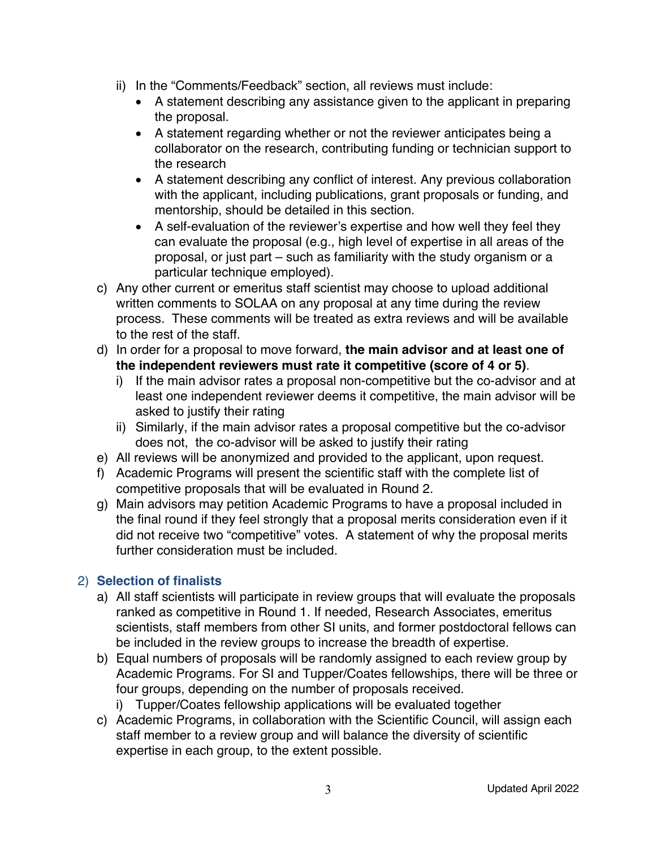- ii) In the "Comments/Feedback" section, all reviews must include:
	- A statement describing any assistance given to the applicant in preparing the proposal.
	- A statement regarding whether or not the reviewer anticipates being a collaborator on the research, contributing funding or technician support to the research
	- A statement describing any conflict of interest. Any previous collaboration with the applicant, including publications, grant proposals or funding, and mentorship, should be detailed in this section.
	- A self-evaluation of the reviewer's expertise and how well they feel they can evaluate the proposal (e.g., high level of expertise in all areas of the proposal, or just part – such as familiarity with the study organism or a particular technique employed).
- c) Any other current or emeritus staff scientist may choose to upload additional written comments to SOLAA on any proposal at any time during the review process. These comments will be treated as extra reviews and will be available to the rest of the staff.
- d) In order for a proposal to move forward, **the main advisor and at least one of the independent reviewers must rate it competitive (score of 4 or 5)**.
	- i) If the main advisor rates a proposal non-competitive but the co-advisor and at least one independent reviewer deems it competitive, the main advisor will be asked to justify their rating
	- ii) Similarly, if the main advisor rates a proposal competitive but the co-advisor does not, the co-advisor will be asked to justify their rating
- e) All reviews will be anonymized and provided to the applicant, upon request.
- f) Academic Programs will present the scientific staff with the complete list of competitive proposals that will be evaluated in Round 2.
- g) Main advisors may petition Academic Programs to have a proposal included in the final round if they feel strongly that a proposal merits consideration even if it did not receive two "competitive" votes. A statement of why the proposal merits further consideration must be included.

## 2) **Selection of finalists**

- a) All staff scientists will participate in review groups that will evaluate the proposals ranked as competitive in Round 1. If needed, Research Associates, emeritus scientists, staff members from other SI units, and former postdoctoral fellows can be included in the review groups to increase the breadth of expertise.
- b) Equal numbers of proposals will be randomly assigned to each review group by Academic Programs. For SI and Tupper/Coates fellowships, there will be three or four groups, depending on the number of proposals received.

i) Tupper/Coates fellowship applications will be evaluated together

c) Academic Programs, in collaboration with the Scientific Council, will assign each staff member to a review group and will balance the diversity of scientific expertise in each group, to the extent possible.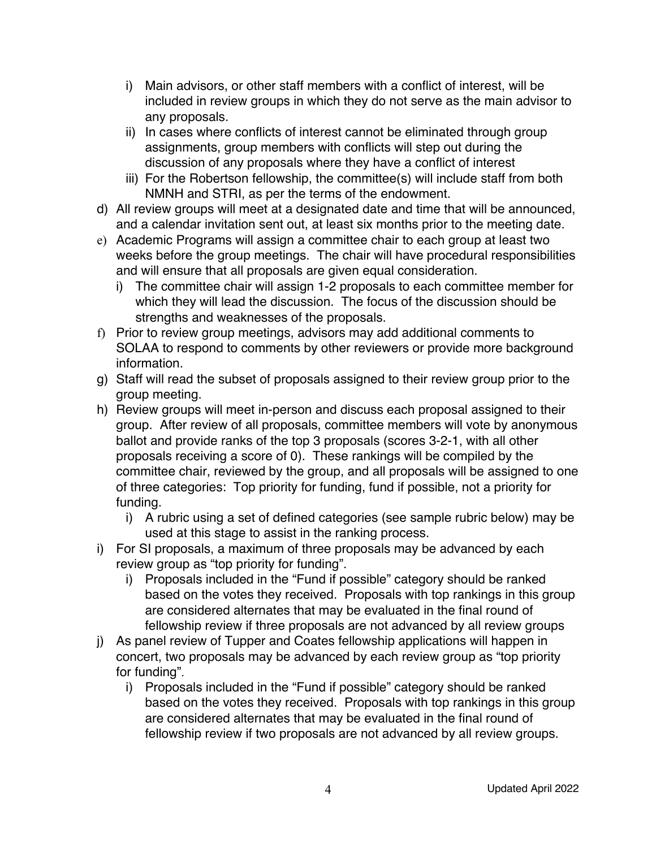- i) Main advisors, or other staff members with a conflict of interest, will be included in review groups in which they do not serve as the main advisor to any proposals.
- ii) In cases where conflicts of interest cannot be eliminated through group assignments, group members with conflicts will step out during the discussion of any proposals where they have a conflict of interest
- iii) For the Robertson fellowship, the committee(s) will include staff from both NMNH and STRI, as per the terms of the endowment.
- d) All review groups will meet at a designated date and time that will be announced, and a calendar invitation sent out, at least six months prior to the meeting date.
- e) Academic Programs will assign a committee chair to each group at least two weeks before the group meetings. The chair will have procedural responsibilities and will ensure that all proposals are given equal consideration.
	- i) The committee chair will assign 1-2 proposals to each committee member for which they will lead the discussion. The focus of the discussion should be strengths and weaknesses of the proposals.
- f) Prior to review group meetings, advisors may add additional comments to SOLAA to respond to comments by other reviewers or provide more background information.
- g) Staff will read the subset of proposals assigned to their review group prior to the group meeting.
- h) Review groups will meet in-person and discuss each proposal assigned to their group. After review of all proposals, committee members will vote by anonymous ballot and provide ranks of the top 3 proposals (scores 3-2-1, with all other proposals receiving a score of 0). These rankings will be compiled by the committee chair, reviewed by the group, and all proposals will be assigned to one of three categories: Top priority for funding, fund if possible, not a priority for funding.
	- i) A rubric using a set of defined categories (see sample rubric below) may be used at this stage to assist in the ranking process.
- i) For SI proposals, a maximum of three proposals may be advanced by each review group as "top priority for funding".
	- i) Proposals included in the "Fund if possible" category should be ranked based on the votes they received. Proposals with top rankings in this group are considered alternates that may be evaluated in the final round of fellowship review if three proposals are not advanced by all review groups
- j) As panel review of Tupper and Coates fellowship applications will happen in concert, two proposals may be advanced by each review group as "top priority for funding".
	- i) Proposals included in the "Fund if possible" category should be ranked based on the votes they received. Proposals with top rankings in this group are considered alternates that may be evaluated in the final round of fellowship review if two proposals are not advanced by all review groups.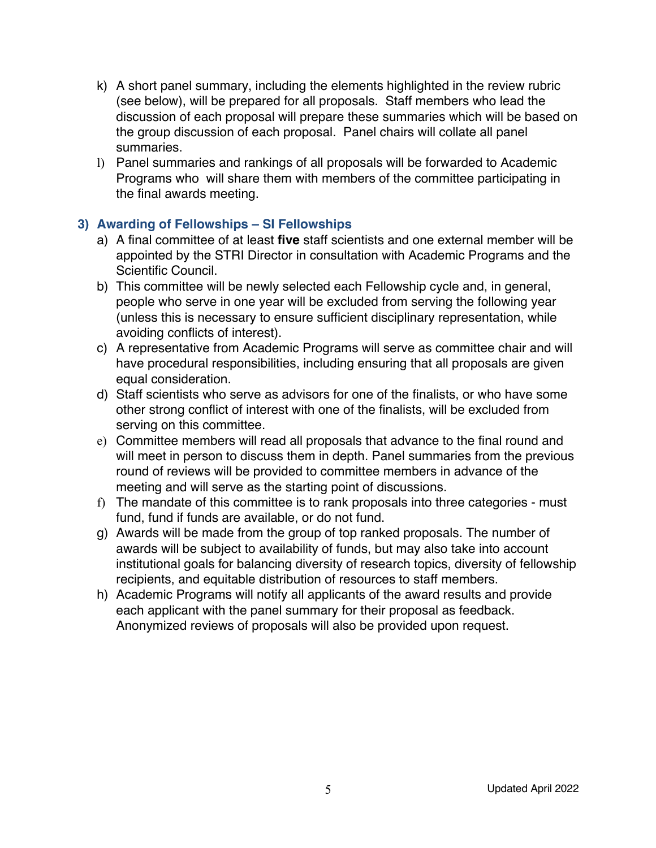- k) A short panel summary, including the elements highlighted in the review rubric (see below), will be prepared for all proposals. Staff members who lead the discussion of each proposal will prepare these summaries which will be based on the group discussion of each proposal. Panel chairs will collate all panel summaries.
- l) Panel summaries and rankings of all proposals will be forwarded to Academic Programs who will share them with members of the committee participating in the final awards meeting.

### **3) Awarding of Fellowships – SI Fellowships**

- a) A final committee of at least **five** staff scientists and one external member will be appointed by the STRI Director in consultation with Academic Programs and the Scientific Council.
- b) This committee will be newly selected each Fellowship cycle and, in general, people who serve in one year will be excluded from serving the following year (unless this is necessary to ensure sufficient disciplinary representation, while avoiding conflicts of interest).
- c) A representative from Academic Programs will serve as committee chair and will have procedural responsibilities, including ensuring that all proposals are given equal consideration.
- d) Staff scientists who serve as advisors for one of the finalists, or who have some other strong conflict of interest with one of the finalists, will be excluded from serving on this committee.
- e) Committee members will read all proposals that advance to the final round and will meet in person to discuss them in depth. Panel summaries from the previous round of reviews will be provided to committee members in advance of the meeting and will serve as the starting point of discussions.
- f) The mandate of this committee is to rank proposals into three categories must fund, fund if funds are available, or do not fund.
- g) Awards will be made from the group of top ranked proposals. The number of awards will be subject to availability of funds, but may also take into account institutional goals for balancing diversity of research topics, diversity of fellowship recipients, and equitable distribution of resources to staff members.
- h) Academic Programs will notify all applicants of the award results and provide each applicant with the panel summary for their proposal as feedback. Anonymized reviews of proposals will also be provided upon request.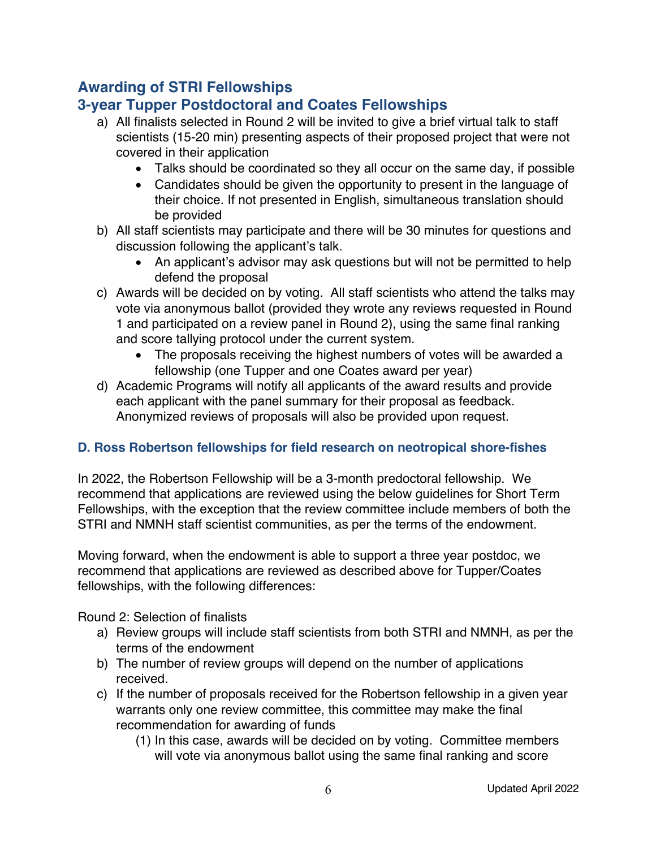# **Awarding of STRI Fellowships**

## **3-year Tupper Postdoctoral and Coates Fellowships**

- a) All finalists selected in Round 2 will be invited to give a brief virtual talk to staff scientists (15-20 min) presenting aspects of their proposed project that were not covered in their application
	- Talks should be coordinated so they all occur on the same day, if possible
	- Candidates should be given the opportunity to present in the language of their choice. If not presented in English, simultaneous translation should be provided
- b) All staff scientists may participate and there will be 30 minutes for questions and discussion following the applicant's talk.
	- An applicant's advisor may ask questions but will not be permitted to help defend the proposal
- c) Awards will be decided on by voting. All staff scientists who attend the talks may vote via anonymous ballot (provided they wrote any reviews requested in Round 1 and participated on a review panel in Round 2), using the same final ranking and score tallying protocol under the current system.
	- The proposals receiving the highest numbers of votes will be awarded a fellowship (one Tupper and one Coates award per year)
- d) Academic Programs will notify all applicants of the award results and provide each applicant with the panel summary for their proposal as feedback. Anonymized reviews of proposals will also be provided upon request.

## **D. Ross Robertson fellowships for field research on neotropical shore-fishes**

In 2022, the Robertson Fellowship will be a 3-month predoctoral fellowship. We recommend that applications are reviewed using the below guidelines for Short Term Fellowships, with the exception that the review committee include members of both the STRI and NMNH staff scientist communities, as per the terms of the endowment.

Moving forward, when the endowment is able to support a three year postdoc, we recommend that applications are reviewed as described above for Tupper/Coates fellowships, with the following differences:

Round 2: Selection of finalists

- a) Review groups will include staff scientists from both STRI and NMNH, as per the terms of the endowment
- b) The number of review groups will depend on the number of applications received.
- c) If the number of proposals received for the Robertson fellowship in a given year warrants only one review committee, this committee may make the final recommendation for awarding of funds
	- (1) In this case, awards will be decided on by voting. Committee members will vote via anonymous ballot using the same final ranking and score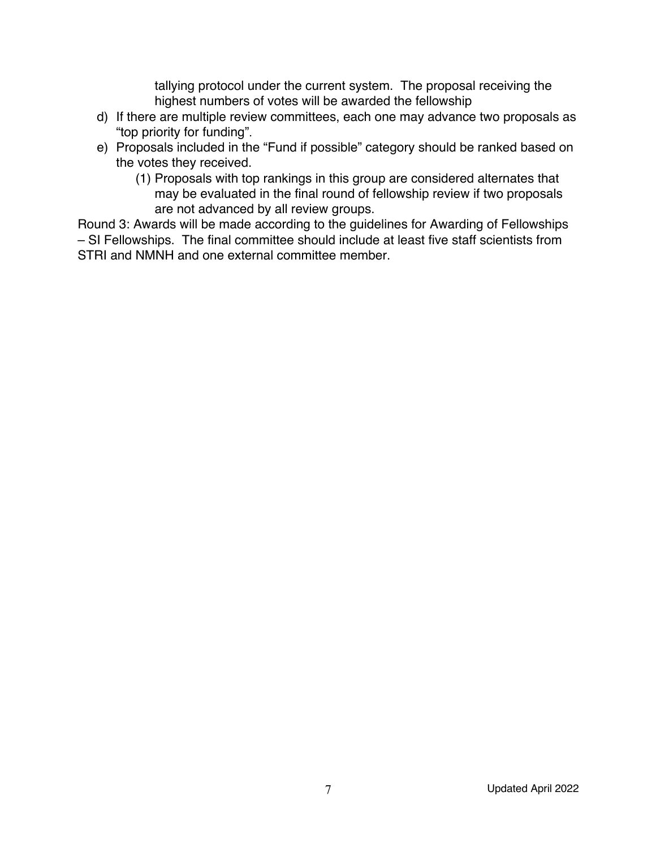tallying protocol under the current system. The proposal receiving the highest numbers of votes will be awarded the fellowship

- d) If there are multiple review committees, each one may advance two proposals as "top priority for funding".
- e) Proposals included in the "Fund if possible" category should be ranked based on the votes they received.
	- (1) Proposals with top rankings in this group are considered alternates that may be evaluated in the final round of fellowship review if two proposals are not advanced by all review groups.

Round 3: Awards will be made according to the guidelines for Awarding of Fellowships – SI Fellowships. The final committee should include at least five staff scientists from STRI and NMNH and one external committee member.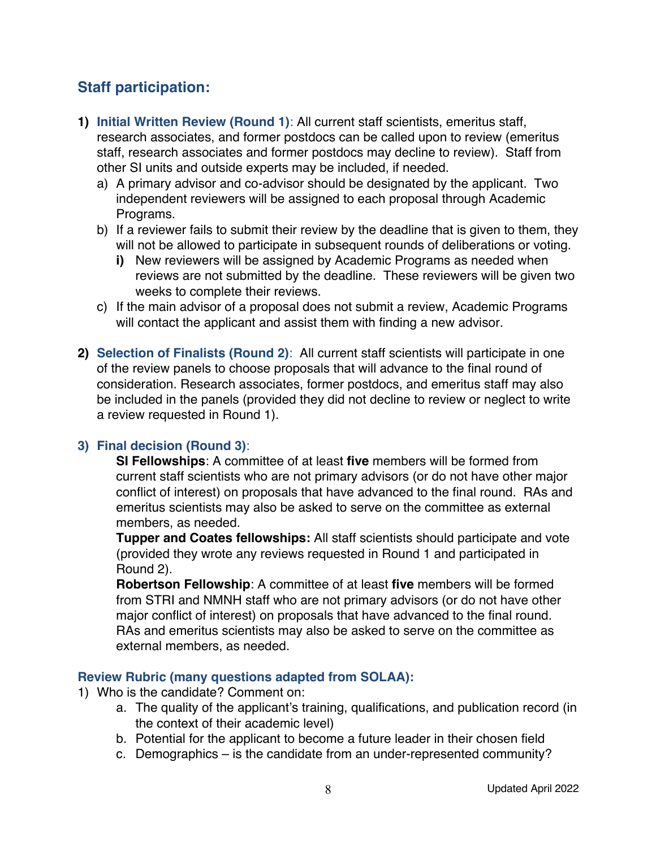# **Staff participation:**

- **1) Initial Written Review (Round 1)**: All current staff scientists, emeritus staff, research associates, and former postdocs can be called upon to review (emeritus staff, research associates and former postdocs may decline to review). Staff from other SI units and outside experts may be included, if needed.
	- a) A primary advisor and co-advisor should be designated by the applicant. Two independent reviewers will be assigned to each proposal through Academic Programs.
	- b) If a reviewer fails to submit their review by the deadline that is given to them, they will not be allowed to participate in subsequent rounds of deliberations or voting.
		- **i)** New reviewers will be assigned by Academic Programs as needed when reviews are not submitted by the deadline. These reviewers will be given two weeks to complete their reviews.
	- c) If the main advisor of a proposal does not submit a review, Academic Programs will contact the applicant and assist them with finding a new advisor.
- **2) Selection of Finalists (Round 2)**: All current staff scientists will participate in one of the review panels to choose proposals that will advance to the final round of consideration. Research associates, former postdocs, and emeritus staff may also be included in the panels (provided they did not decline to review or neglect to write a review requested in Round 1).

#### **3) Final decision (Round 3)**:

**SI Fellowships**: A committee of at least **five** members will be formed from current staff scientists who are not primary advisors (or do not have other major conflict of interest) on proposals that have advanced to the final round. RAs and emeritus scientists may also be asked to serve on the committee as external members, as needed.

**Tupper and Coates fellowships:** All staff scientists should participate and vote (provided they wrote any reviews requested in Round 1 and participated in Round 2).

**Robertson Fellowship**: A committee of at least **five** members will be formed from STRI and NMNH staff who are not primary advisors (or do not have other major conflict of interest) on proposals that have advanced to the final round. RAs and emeritus scientists may also be asked to serve on the committee as external members, as needed.

#### **Review Rubric (many questions adapted from SOLAA):**

- 1) Who is the candidate? Comment on:
	- a. The quality of the applicant's training, qualifications, and publication record (in the context of their academic level)
	- b. Potential for the applicant to become a future leader in their chosen field
	- c. Demographics is the candidate from an under-represented community?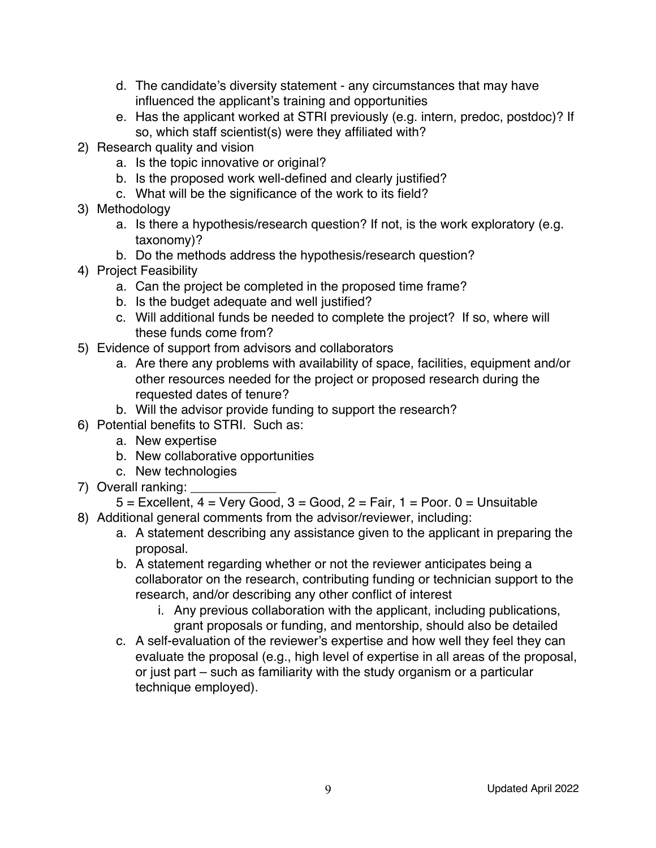- d. The candidate's diversity statement any circumstances that may have influenced the applicant's training and opportunities
- e. Has the applicant worked at STRI previously (e.g. intern, predoc, postdoc)? If so, which staff scientist(s) were they affiliated with?
- 2) Research quality and vision
	- a. Is the topic innovative or original?
	- b. Is the proposed work well-defined and clearly justified?
	- c. What will be the significance of the work to its field?
- 3) Methodology
	- a. Is there a hypothesis/research question? If not, is the work exploratory (e.g. taxonomy)?
	- b. Do the methods address the hypothesis/research question?
- 4) Project Feasibility
	- a. Can the project be completed in the proposed time frame?
	- b. Is the budget adequate and well justified?
	- c. Will additional funds be needed to complete the project? If so, where will these funds come from?
- 5) Evidence of support from advisors and collaborators
	- a. Are there any problems with availability of space, facilities, equipment and/or other resources needed for the project or proposed research during the requested dates of tenure?
	- b. Will the advisor provide funding to support the research?
- 6) Potential benefits to STRI. Such as:
	- a. New expertise
	- b. New collaborative opportunities
	- c. New technologies
- 7) Overall ranking:
	- $5$  = Excellent,  $4$  = Very Good,  $3$  = Good,  $2$  = Fair,  $1$  = Poor. 0 = Unsuitable
- 8) Additional general comments from the advisor/reviewer, including:
	- a. A statement describing any assistance given to the applicant in preparing the proposal.
	- b. A statement regarding whether or not the reviewer anticipates being a collaborator on the research, contributing funding or technician support to the research, and/or describing any other conflict of interest
		- i. Any previous collaboration with the applicant, including publications, grant proposals or funding, and mentorship, should also be detailed
	- c. A self-evaluation of the reviewer's expertise and how well they feel they can evaluate the proposal (e.g., high level of expertise in all areas of the proposal, or just part – such as familiarity with the study organism or a particular technique employed).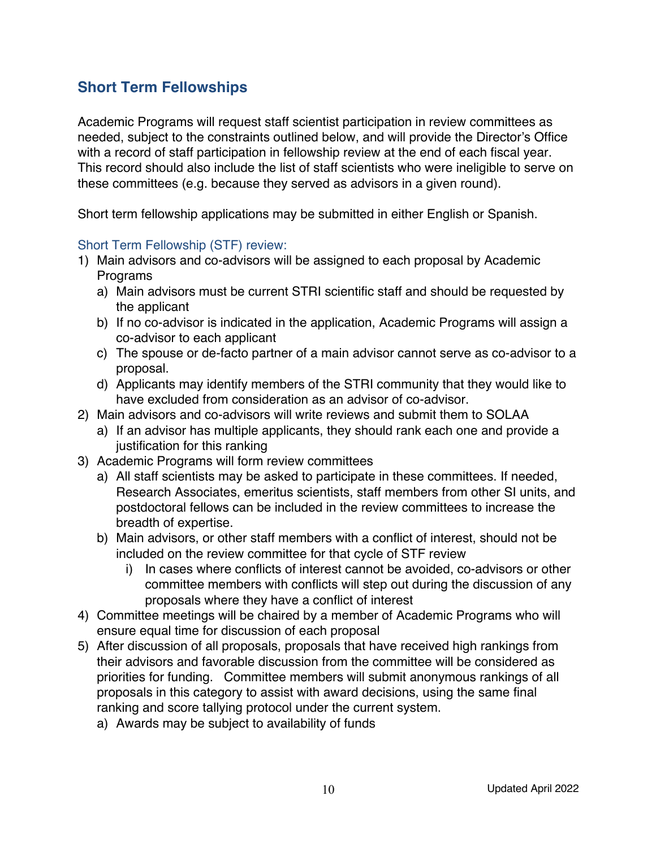# **Short Term Fellowships**

Academic Programs will request staff scientist participation in review committees as needed, subject to the constraints outlined below, and will provide the Director's Office with a record of staff participation in fellowship review at the end of each fiscal year. This record should also include the list of staff scientists who were ineligible to serve on these committees (e.g. because they served as advisors in a given round).

Short term fellowship applications may be submitted in either English or Spanish.

#### Short Term Fellowship (STF) review:

- 1) Main advisors and co-advisors will be assigned to each proposal by Academic Programs
	- a) Main advisors must be current STRI scientific staff and should be requested by the applicant
	- b) If no co-advisor is indicated in the application, Academic Programs will assign a co-advisor to each applicant
	- c) The spouse or de-facto partner of a main advisor cannot serve as co-advisor to a proposal.
	- d) Applicants may identify members of the STRI community that they would like to have excluded from consideration as an advisor of co-advisor.
- 2) Main advisors and co-advisors will write reviews and submit them to SOLAA
	- a) If an advisor has multiple applicants, they should rank each one and provide a justification for this ranking
- 3) Academic Programs will form review committees
	- a) All staff scientists may be asked to participate in these committees. If needed, Research Associates, emeritus scientists, staff members from other SI units, and postdoctoral fellows can be included in the review committees to increase the breadth of expertise.
	- b) Main advisors, or other staff members with a conflict of interest, should not be included on the review committee for that cycle of STF review
		- i) In cases where conflicts of interest cannot be avoided, co-advisors or other committee members with conflicts will step out during the discussion of any proposals where they have a conflict of interest
- 4) Committee meetings will be chaired by a member of Academic Programs who will ensure equal time for discussion of each proposal
- 5) After discussion of all proposals, proposals that have received high rankings from their advisors and favorable discussion from the committee will be considered as priorities for funding. Committee members will submit anonymous rankings of all proposals in this category to assist with award decisions, using the same final ranking and score tallying protocol under the current system.
	- a) Awards may be subject to availability of funds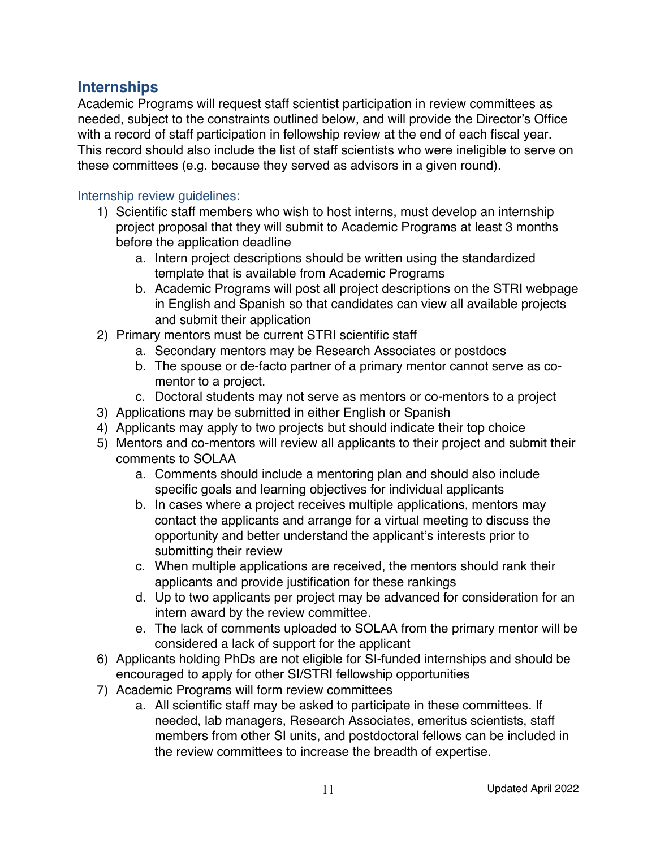## **Internships**

Academic Programs will request staff scientist participation in review committees as needed, subject to the constraints outlined below, and will provide the Director's Office with a record of staff participation in fellowship review at the end of each fiscal year. This record should also include the list of staff scientists who were ineligible to serve on these committees (e.g. because they served as advisors in a given round).

#### Internship review guidelines:

- 1) Scientific staff members who wish to host interns, must develop an internship project proposal that they will submit to Academic Programs at least 3 months before the application deadline
	- a. Intern project descriptions should be written using the standardized template that is available from Academic Programs
	- b. Academic Programs will post all project descriptions on the STRI webpage in English and Spanish so that candidates can view all available projects and submit their application
- 2) Primary mentors must be current STRI scientific staff
	- a. Secondary mentors may be Research Associates or postdocs
	- b. The spouse or de-facto partner of a primary mentor cannot serve as comentor to a project.
	- c. Doctoral students may not serve as mentors or co-mentors to a project
- 3) Applications may be submitted in either English or Spanish
- 4) Applicants may apply to two projects but should indicate their top choice
- 5) Mentors and co-mentors will review all applicants to their project and submit their comments to SOLAA
	- a. Comments should include a mentoring plan and should also include specific goals and learning objectives for individual applicants
	- b. In cases where a project receives multiple applications, mentors may contact the applicants and arrange for a virtual meeting to discuss the opportunity and better understand the applicant's interests prior to submitting their review
	- c. When multiple applications are received, the mentors should rank their applicants and provide justification for these rankings
	- d. Up to two applicants per project may be advanced for consideration for an intern award by the review committee.
	- e. The lack of comments uploaded to SOLAA from the primary mentor will be considered a lack of support for the applicant
- 6) Applicants holding PhDs are not eligible for SI-funded internships and should be encouraged to apply for other SI/STRI fellowship opportunities
- 7) Academic Programs will form review committees
	- a. All scientific staff may be asked to participate in these committees. If needed, lab managers, Research Associates, emeritus scientists, staff members from other SI units, and postdoctoral fellows can be included in the review committees to increase the breadth of expertise.